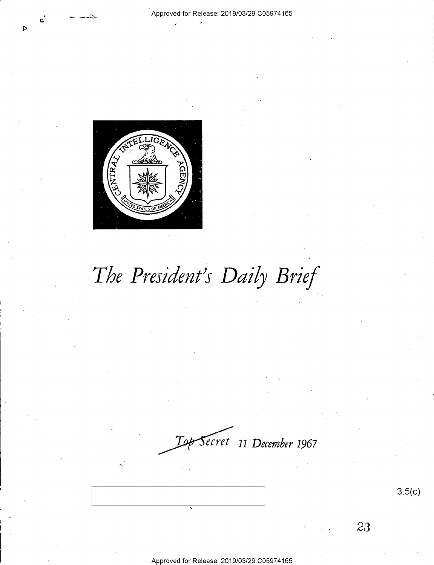

# *The President's Daily Brief*

*ecret* **11** *December* **1967** 

3.5(c)

23

Approved for Release: 2019/03/29 C0597 4165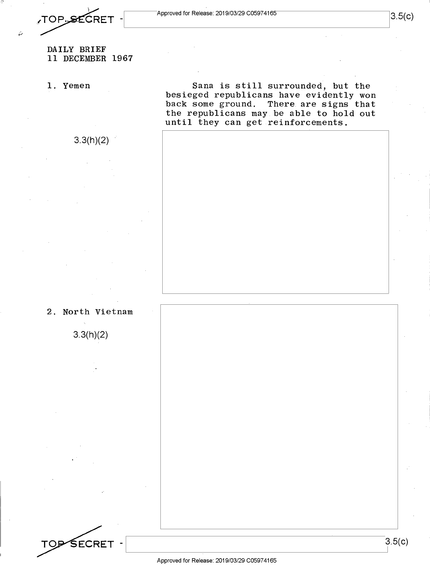TOP.SECRET -

### DAILY BRIEF 11 DECEMBER 1967

3.3(h)(2)

**1.** Yemen

Sana is still surrounded, but the besieged republicans have evidently won back some ground. There are signs that the republicans may be able to hold out until they can get reinforcements.

2. North Vietnam

3.3(h)(2)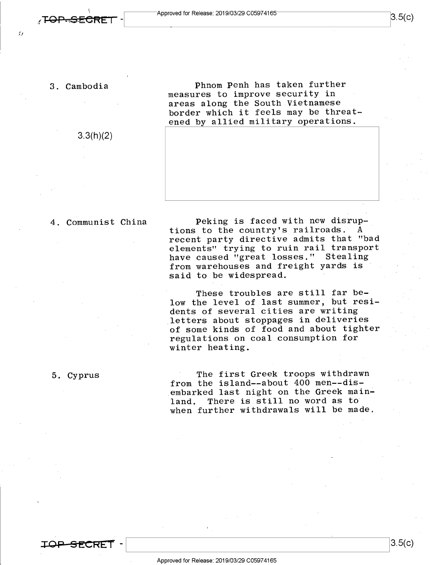tJ

**\_\_\_J3.5(c)** 

#### 3. Cambodia

3.3(h)(2)

Phnom Penh has taken further measures to improve security in areas along the South Vietnamese border which it feels may be threatened by allied military operations.

4. Communist China

Peking is faced with new disruptions to the country's railroads. A recent party directive admits that "bad elements" trying to ruin rail transport have caused "great losses," Stealing from warehouses and freight yards is said to be widespread.

These troubles are still far below the level of last summer, but residents of several cities are writing letters about stoppages **in** deliveries of some kinds of food and about tighter regulations on coal consumption for winter heating.

### 5. Cyprus

The first Greek troops withdrawn from the island--about 400 men--disembarked last night on the Greek mainland. There is still no word as to when further withdrawals will be made.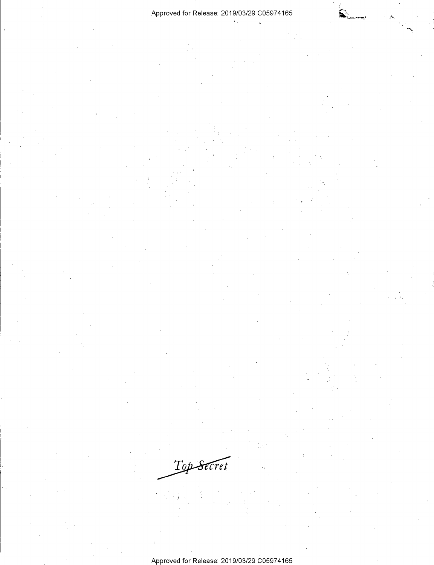### Approved for Release: 2019/03/29 C05974165

Top Secret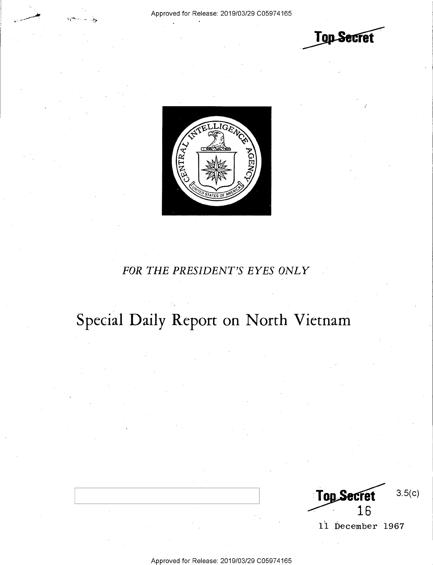**Top Secret** 



### *FOR THE PRESIDENT'S EYES ONLY*

## **Special Daily Report on North Vietnam**

3.5(c) **Top Sect** 16

11 December 1967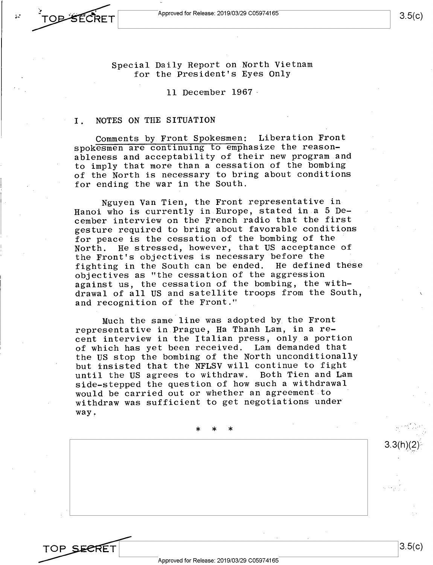

TOP SECRE

Special Daily Report on North Vietnam for the President's Eyes Only

11 December 1967 -

#### I. NOTES ON THE SITUATION

Comments by Front Spokesmen: Liberation Front spokesmen are continuing to emphasize the reasonableness and acceptability of their new program and to imply that more than a cessation of the bombing of the North is necessary to bring about conditions for ending the war in the South.

Nguyen Van Tien, the Front representative in Hanoi who is currently in Europe, stated in a 5 December interview on the French radio that the first gesture required to bring about favorable conditions for peace is the cessation of the bombing of the North. He stressed, however, that US acceptance of the Front's objectives is necessary before the fighting in the South can be ended. He defined these objectives as "the cessation of the aggression against us, the cessation of the bombing, the withdrawal of all US and satellite troops from the South, and recognition of the Front."

Much the same line was adopted by the Front representative in Prague, Ha Thanh Lam, in a recent interview in the Italian press, only a portion of which has yet been received. Lam demanded that the US stop the bombing of the North unconditionally but insisted that the NFLSV will continue to fight until the US agrees to withdraw. Both Tien and Lam side-stepped the question of how such a withdrawal would be carried out or whether an agreement to withdraw was sufficient to get negotiations under way.

\* \* \*

 $3.3(h)(2)^{\varepsilon}$ 

3.5(c)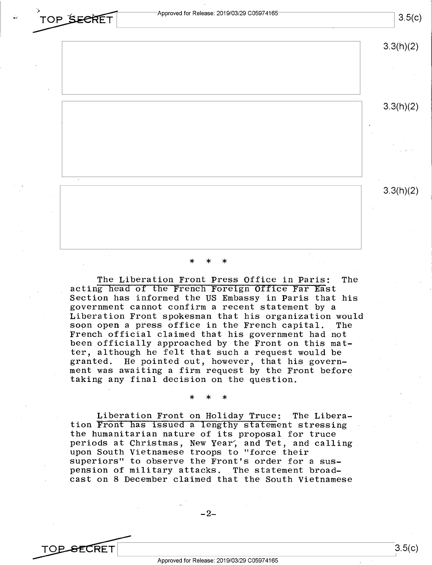**•**<br>**TOP SECRET** Approved for Release: 2019/03/29 C05974165 Approved for Release: 2019/03/29 C05974165<br>
TOP SECRET Approved for Release: 2019/03/29 C05974165<br>
3.5(C)

|        | 3.3(h)(2) |
|--------|-----------|
|        |           |
|        | 3.3(h)(2) |
|        | ٠         |
|        |           |
| $\sim$ | 3.3(h)(2) |
|        |           |
|        |           |

### \* \* \*

The Liberation Front Press Office in Paris: The acting head of the French Foreign Office Far East Section has informed the US Embassy in Paris that his government cannot confirm a recent statement by a Liberation Front spokesman that his organization would soon open a press office in the French capital. French official claimed that his government had not been officially approached by the Front on this matter, although he felt that such a request would be granted. He pointed out, however, that his government was awaiting a firm request by the Front before taking any final decision on the question.

\* \* \*

Liberation Front on Holiday Truce: The Liberation Front has issued a lengthy statement stressing the humanitarian nature of its proposal for truce periods at Christmas, New Year, and Tet, and calling. upon South Vietnamese troops to "force their superiors" to observe the Front's order for a sus-<br>pension of military attacks. The statement broadpension of military attacks. cast on 8 December claimed that the South Vietnamese

 $-2-$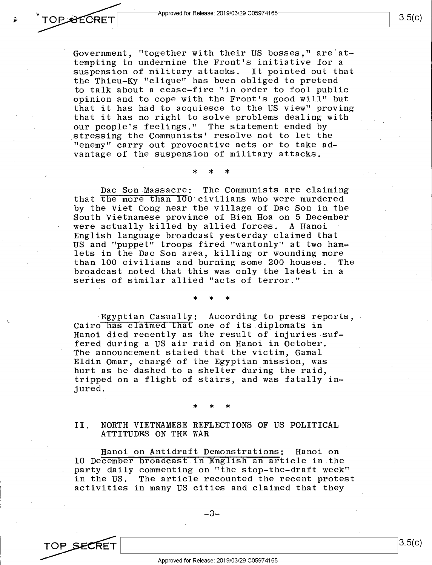Government, "together with their US bosses," are·attempting to undermine the Front's initiative for a suspension of military attacks. It pointed out that the Thieu-Ky "clique" has been obliged to pretend to talk about a cease-fire "in order to fool public opinion and to cope with the Front's good will" but that it has had to acquiesce to the US view" proving that it has no right to solve problems dealing with our people's feelings." The statement ended by stressing the Communists' resolve not to let the "enemy" carry out provocative acts or to take advantage of the suspension of military attacks.

Dae Son Massacre: The Communists are claiming that the more than 100 civilians who were murdered by the Viet Cong near the village of Dae Son in the South Vietnamese province of Bien Hoa on 5 December were actually killed by allied forces. A Hanoi English language broadcast yesterday claimed that US and "puppet" troops fired "wantonly" at two hamlets in the Dac Son area, killing or wounding more<br>than 100 civilians and burning some 200 houses. The than 100 civilians and burning some 200 houses. broadcast noted that this was only the latest in a series of similar allied "acts of terror."

\* \* \*

Egyptian Casualty: According to press reports, Cairo has claimed that one of its diplomats in Hanoi died recently as the result of injuries suffered during a US air raid on Hanoi in October. The announcement stated that the victim, Gamal Eldin Omar, charge of the Egyptian mission, was hurt as he dashed to a shelter during the raid, tripped on a flight of stairs, and was fatally injured.

\* \* \*

\* \* \*

II. NORTH VIETNAMESE REFLECTIONS OF US POLITICAL ATTITUDES ON THE WAR

Hanoi on Antidraft Demonstrations: Hanoi on 10 December broadcast in English an article in the party daily commenting on "the stop-the-draft week" in the US. The article recounted the recent protest activities in many US cities and claimed that they



**OPSECRET**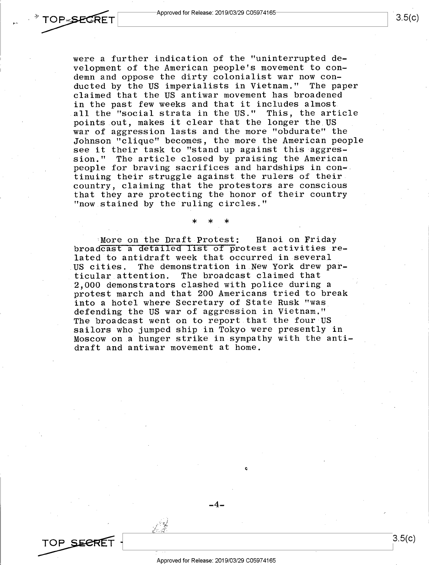

were a further indication of the "uninterrupted development of the American people's movement to condemn and oppose the dirty colonialist war now conducted by the US imperialists in Vietnam." The paper claimed that the US antiwar movement has broadened in the past few weeks and that it includes almost all the "social strata in the US." This, the article points out, makes it clear that the longer the US war of aggression lasts and the more "obdurate" the Johnson "clique" becomes, the more the American people see it their task to "stand up against this aggression." The article closed by praising the American people for braving sacrifices and hardships in continuing their struggle against the rulers of their country, claiming that the protestors are conscious that they are protecting the honor of their country "now stained by the ruling circles."

More on the Draft Protest: Hanoi on Friday broadcast a detailed list of protest activities related to antidraft week that occurred in several US cities. The demonstration in New York drew particular attention. The broadcast claimed that 2,000 demonstrators clashed with police during <sup>a</sup> protest march and that 200 Americans tried to break into a hotel where Secretary of State Rusk "was defending the US war of aggression in Vietnam." The broadcast went on to report that the four US sailors who jumped ship in Tokyo were presently in Moscow on a hunger strike in sympathy with the antidraft and antiwar movement at home.

\* \* \*

TOP SEERE